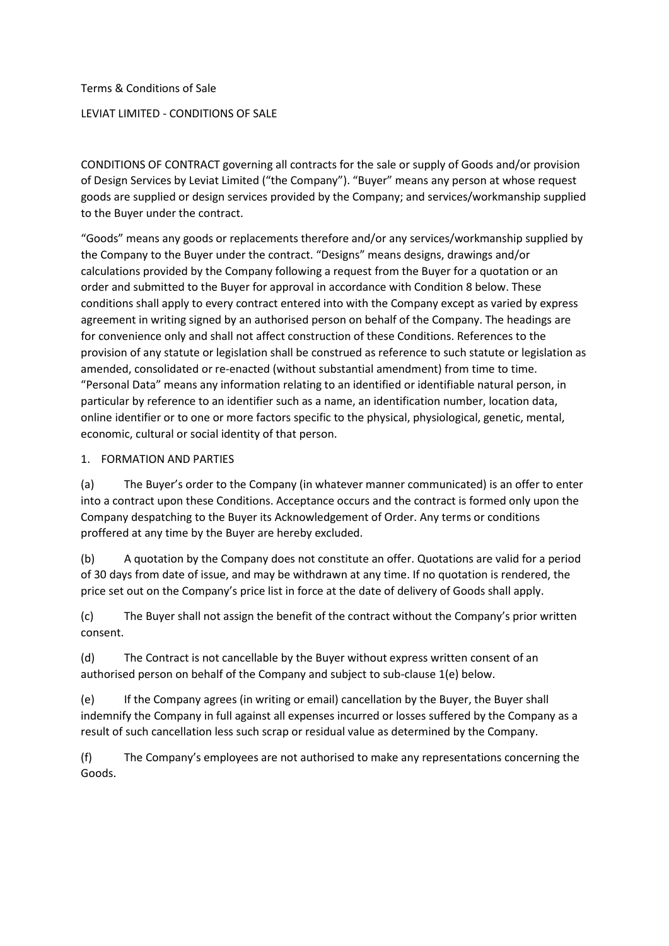# Terms & Conditions of Sale LEVIAT LIMITED - CONDITIONS OF SALE

CONDITIONS OF CONTRACT governing all contracts for the sale or supply of Goods and/or provision of Design Services by Leviat Limited ("the Company"). "Buyer" means any person at whose request goods are supplied or design services provided by the Company; and services/workmanship supplied to the Buyer under the contract.

"Goods" means any goods or replacements therefore and/or any services/workmanship supplied by the Company to the Buyer under the contract. "Designs" means designs, drawings and/or calculations provided by the Company following a request from the Buyer for a quotation or an order and submitted to the Buyer for approval in accordance with Condition 8 below. These conditions shall apply to every contract entered into with the Company except as varied by express agreement in writing signed by an authorised person on behalf of the Company. The headings are for convenience only and shall not affect construction of these Conditions. References to the provision of any statute or legislation shall be construed as reference to such statute or legislation as amended, consolidated or re-enacted (without substantial amendment) from time to time. "Personal Data" means any information relating to an identified or identifiable natural person, in particular by reference to an identifier such as a name, an identification number, location data, online identifier or to one or more factors specific to the physical, physiological, genetic, mental, economic, cultural or social identity of that person.

## 1. FORMATION AND PARTIES

(a) The Buyer's order to the Company (in whatever manner communicated) is an offer to enter into a contract upon these Conditions. Acceptance occurs and the contract is formed only upon the Company despatching to the Buyer its Acknowledgement of Order. Any terms or conditions proffered at any time by the Buyer are hereby excluded.

(b) A quotation by the Company does not constitute an offer. Quotations are valid for a period of 30 days from date of issue, and may be withdrawn at any time. If no quotation is rendered, the price set out on the Company's price list in force at the date of delivery of Goods shall apply.

(c) The Buyer shall not assign the benefit of the contract without the Company's prior written consent.

(d) The Contract is not cancellable by the Buyer without express written consent of an authorised person on behalf of the Company and subject to sub-clause 1(e) below.

(e) If the Company agrees (in writing or email) cancellation by the Buyer, the Buyer shall indemnify the Company in full against all expenses incurred or losses suffered by the Company as a result of such cancellation less such scrap or residual value as determined by the Company.

(f) The Company's employees are not authorised to make any representations concerning the Goods.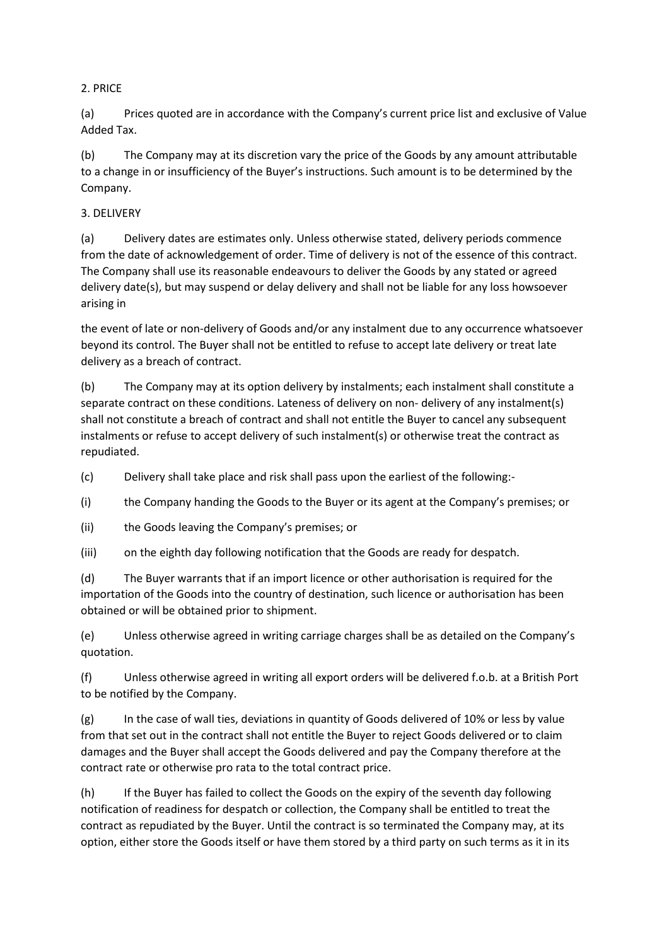## 2. PRICE

(a) Prices quoted are in accordance with the Company's current price list and exclusive of Value Added Tax.

(b) The Company may at its discretion vary the price of the Goods by any amount attributable to a change in or insufficiency of the Buyer's instructions. Such amount is to be determined by the Company.

## 3. DELIVERY

(a) Delivery dates are estimates only. Unless otherwise stated, delivery periods commence from the date of acknowledgement of order. Time of delivery is not of the essence of this contract. The Company shall use its reasonable endeavours to deliver the Goods by any stated or agreed delivery date(s), but may suspend or delay delivery and shall not be liable for any loss howsoever arising in

the event of late or non-delivery of Goods and/or any instalment due to any occurrence whatsoever beyond its control. The Buyer shall not be entitled to refuse to accept late delivery or treat late delivery as a breach of contract.

(b) The Company may at its option delivery by instalments; each instalment shall constitute a separate contract on these conditions. Lateness of delivery on non- delivery of any instalment(s) shall not constitute a breach of contract and shall not entitle the Buyer to cancel any subsequent instalments or refuse to accept delivery of such instalment(s) or otherwise treat the contract as repudiated.

(c) Delivery shall take place and risk shall pass upon the earliest of the following:-

(i) the Company handing the Goods to the Buyer or its agent at the Company's premises; or

(ii) the Goods leaving the Company's premises; or

(iii) on the eighth day following notification that the Goods are ready for despatch.

(d) The Buyer warrants that if an import licence or other authorisation is required for the importation of the Goods into the country of destination, such licence or authorisation has been obtained or will be obtained prior to shipment.

(e) Unless otherwise agreed in writing carriage charges shall be as detailed on the Company's quotation.

(f) Unless otherwise agreed in writing all export orders will be delivered f.o.b. at a British Port to be notified by the Company.

(g) In the case of wall ties, deviations in quantity of Goods delivered of 10% or less by value from that set out in the contract shall not entitle the Buyer to reject Goods delivered or to claim damages and the Buyer shall accept the Goods delivered and pay the Company therefore at the contract rate or otherwise pro rata to the total contract price.

(h) If the Buyer has failed to collect the Goods on the expiry of the seventh day following notification of readiness for despatch or collection, the Company shall be entitled to treat the contract as repudiated by the Buyer. Until the contract is so terminated the Company may, at its option, either store the Goods itself or have them stored by a third party on such terms as it in its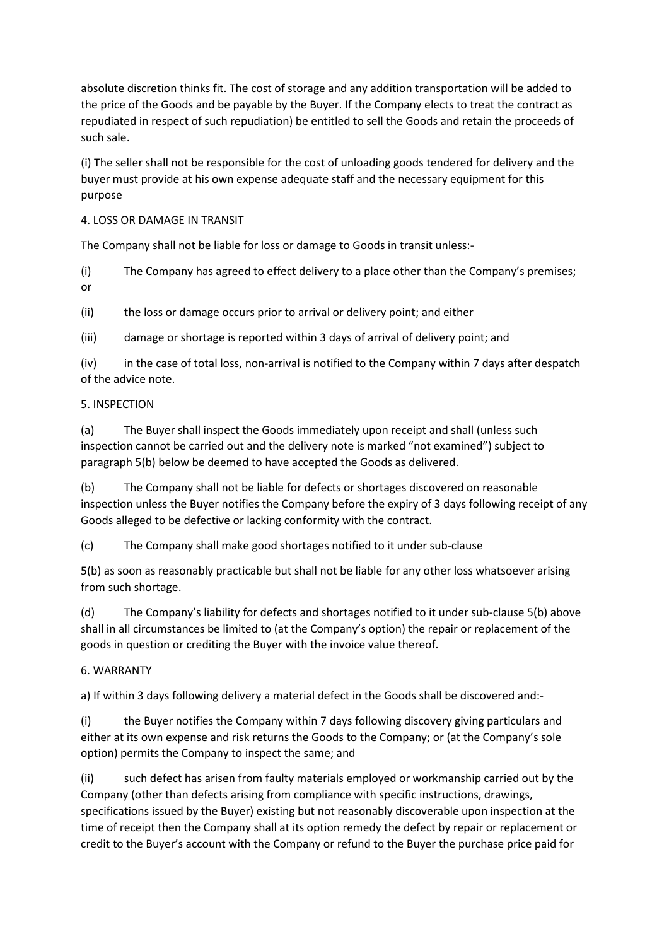absolute discretion thinks fit. The cost of storage and any addition transportation will be added to the price of the Goods and be payable by the Buyer. If the Company elects to treat the contract as repudiated in respect of such repudiation) be entitled to sell the Goods and retain the proceeds of such sale.

(i) The seller shall not be responsible for the cost of unloading goods tendered for delivery and the buyer must provide at his own expense adequate staff and the necessary equipment for this purpose

## 4. LOSS OR DAMAGE IN TRANSIT

The Company shall not be liable for loss or damage to Goods in transit unless:-

(i) The Company has agreed to effect delivery to a place other than the Company's premises; or

(ii) the loss or damage occurs prior to arrival or delivery point; and either

(iii) damage or shortage is reported within 3 days of arrival of delivery point; and

(iv) in the case of total loss, non-arrival is notified to the Company within 7 days after despatch of the advice note.

#### 5. INSPECTION

(a) The Buyer shall inspect the Goods immediately upon receipt and shall (unless such inspection cannot be carried out and the delivery note is marked "not examined") subject to paragraph 5(b) below be deemed to have accepted the Goods as delivered.

(b) The Company shall not be liable for defects or shortages discovered on reasonable inspection unless the Buyer notifies the Company before the expiry of 3 days following receipt of any Goods alleged to be defective or lacking conformity with the contract.

(c) The Company shall make good shortages notified to it under sub-clause

5(b) as soon as reasonably practicable but shall not be liable for any other loss whatsoever arising from such shortage.

(d) The Company's liability for defects and shortages notified to it under sub-clause 5(b) above shall in all circumstances be limited to (at the Company's option) the repair or replacement of the goods in question or crediting the Buyer with the invoice value thereof.

## 6. WARRANTY

a) If within 3 days following delivery a material defect in the Goods shall be discovered and:-

(i) the Buyer notifies the Company within 7 days following discovery giving particulars and either at its own expense and risk returns the Goods to the Company; or (at the Company's sole option) permits the Company to inspect the same; and

(ii) such defect has arisen from faulty materials employed or workmanship carried out by the Company (other than defects arising from compliance with specific instructions, drawings, specifications issued by the Buyer) existing but not reasonably discoverable upon inspection at the time of receipt then the Company shall at its option remedy the defect by repair or replacement or credit to the Buyer's account with the Company or refund to the Buyer the purchase price paid for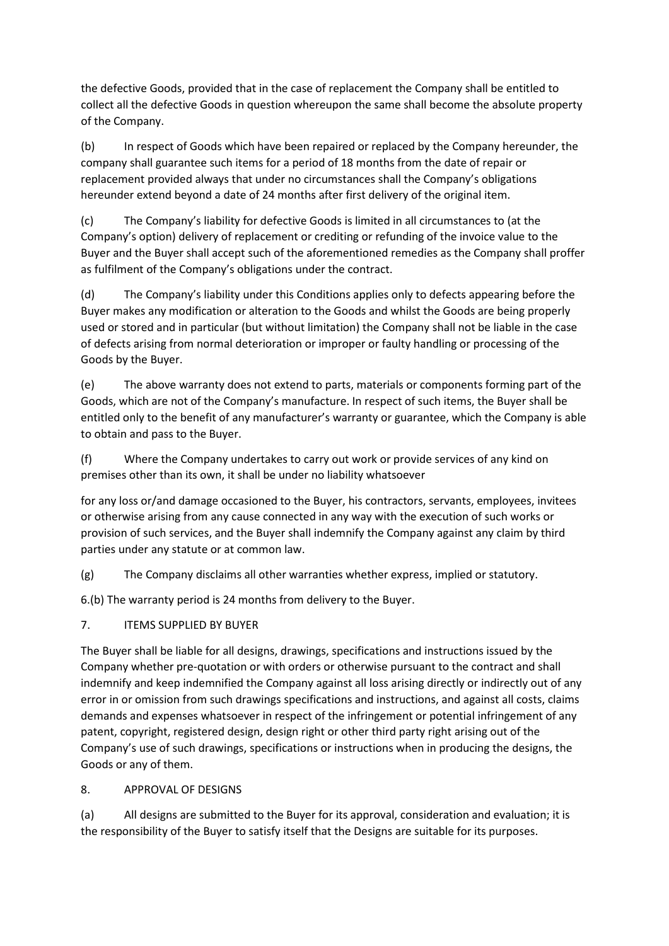the defective Goods, provided that in the case of replacement the Company shall be entitled to collect all the defective Goods in question whereupon the same shall become the absolute property of the Company.

(b) In respect of Goods which have been repaired or replaced by the Company hereunder, the company shall guarantee such items for a period of 18 months from the date of repair or replacement provided always that under no circumstances shall the Company's obligations hereunder extend beyond a date of 24 months after first delivery of the original item.

(c) The Company's liability for defective Goods is limited in all circumstances to (at the Company's option) delivery of replacement or crediting or refunding of the invoice value to the Buyer and the Buyer shall accept such of the aforementioned remedies as the Company shall proffer as fulfilment of the Company's obligations under the contract.

(d) The Company's liability under this Conditions applies only to defects appearing before the Buyer makes any modification or alteration to the Goods and whilst the Goods are being properly used or stored and in particular (but without limitation) the Company shall not be liable in the case of defects arising from normal deterioration or improper or faulty handling or processing of the Goods by the Buyer.

(e) The above warranty does not extend to parts, materials or components forming part of the Goods, which are not of the Company's manufacture. In respect of such items, the Buyer shall be entitled only to the benefit of any manufacturer's warranty or guarantee, which the Company is able to obtain and pass to the Buyer.

(f) Where the Company undertakes to carry out work or provide services of any kind on premises other than its own, it shall be under no liability whatsoever

for any loss or/and damage occasioned to the Buyer, his contractors, servants, employees, invitees or otherwise arising from any cause connected in any way with the execution of such works or provision of such services, and the Buyer shall indemnify the Company against any claim by third parties under any statute or at common law.

(g) The Company disclaims all other warranties whether express, implied or statutory.

6.(b) The warranty period is 24 months from delivery to the Buyer.

7. ITEMS SUPPLIED BY BUYER

The Buyer shall be liable for all designs, drawings, specifications and instructions issued by the Company whether pre-quotation or with orders or otherwise pursuant to the contract and shall indemnify and keep indemnified the Company against all loss arising directly or indirectly out of any error in or omission from such drawings specifications and instructions, and against all costs, claims demands and expenses whatsoever in respect of the infringement or potential infringement of any patent, copyright, registered design, design right or other third party right arising out of the Company's use of such drawings, specifications or instructions when in producing the designs, the Goods or any of them.

8. APPROVAL OF DESIGNS

(a) All designs are submitted to the Buyer for its approval, consideration and evaluation; it is the responsibility of the Buyer to satisfy itself that the Designs are suitable for its purposes.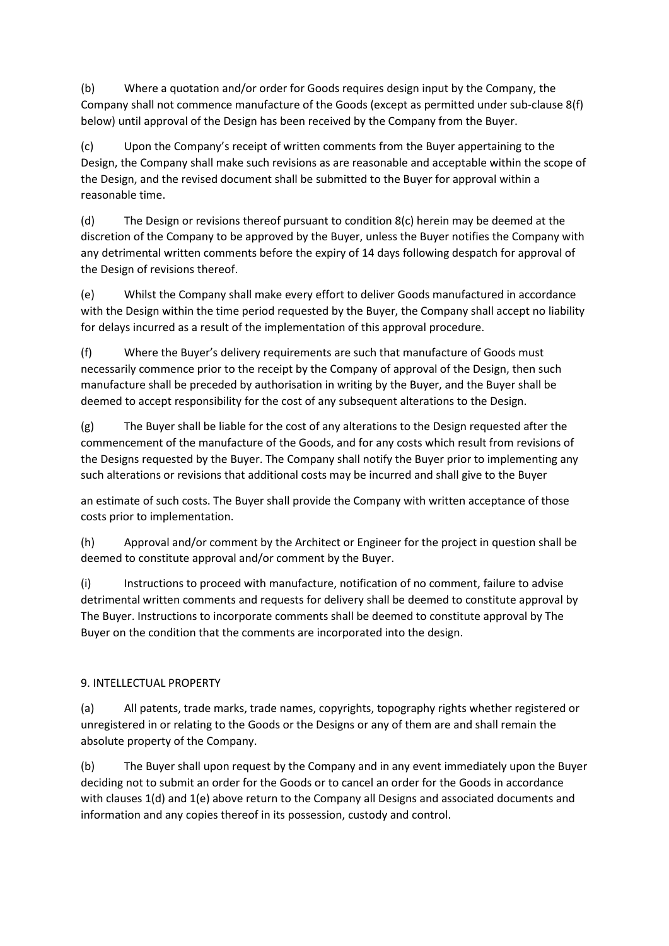(b) Where a quotation and/or order for Goods requires design input by the Company, the Company shall not commence manufacture of the Goods (except as permitted under sub-clause 8(f) below) until approval of the Design has been received by the Company from the Buyer.

(c) Upon the Company's receipt of written comments from the Buyer appertaining to the Design, the Company shall make such revisions as are reasonable and acceptable within the scope of the Design, and the revised document shall be submitted to the Buyer for approval within a reasonable time.

(d) The Design or revisions thereof pursuant to condition 8(c) herein may be deemed at the discretion of the Company to be approved by the Buyer, unless the Buyer notifies the Company with any detrimental written comments before the expiry of 14 days following despatch for approval of the Design of revisions thereof.

(e) Whilst the Company shall make every effort to deliver Goods manufactured in accordance with the Design within the time period requested by the Buyer, the Company shall accept no liability for delays incurred as a result of the implementation of this approval procedure.

(f) Where the Buyer's delivery requirements are such that manufacture of Goods must necessarily commence prior to the receipt by the Company of approval of the Design, then such manufacture shall be preceded by authorisation in writing by the Buyer, and the Buyer shall be deemed to accept responsibility for the cost of any subsequent alterations to the Design.

(g) The Buyer shall be liable for the cost of any alterations to the Design requested after the commencement of the manufacture of the Goods, and for any costs which result from revisions of the Designs requested by the Buyer. The Company shall notify the Buyer prior to implementing any such alterations or revisions that additional costs may be incurred and shall give to the Buyer

an estimate of such costs. The Buyer shall provide the Company with written acceptance of those costs prior to implementation.

(h) Approval and/or comment by the Architect or Engineer for the project in question shall be deemed to constitute approval and/or comment by the Buyer.

(i) Instructions to proceed with manufacture, notification of no comment, failure to advise detrimental written comments and requests for delivery shall be deemed to constitute approval by The Buyer. Instructions to incorporate comments shall be deemed to constitute approval by The Buyer on the condition that the comments are incorporated into the design.

# 9. INTELLECTUAL PROPERTY

(a) All patents, trade marks, trade names, copyrights, topography rights whether registered or unregistered in or relating to the Goods or the Designs or any of them are and shall remain the absolute property of the Company.

(b) The Buyer shall upon request by the Company and in any event immediately upon the Buyer deciding not to submit an order for the Goods or to cancel an order for the Goods in accordance with clauses 1(d) and 1(e) above return to the Company all Designs and associated documents and information and any copies thereof in its possession, custody and control.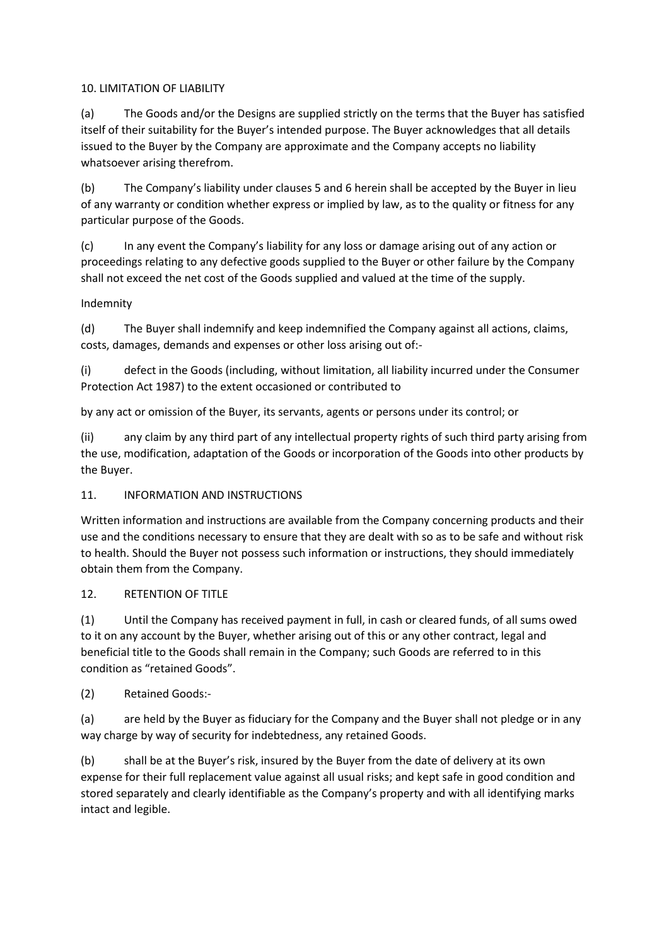## 10. LIMITATION OF LIABILITY

(a) The Goods and/or the Designs are supplied strictly on the terms that the Buyer has satisfied itself of their suitability for the Buyer's intended purpose. The Buyer acknowledges that all details issued to the Buyer by the Company are approximate and the Company accepts no liability whatsoever arising therefrom.

(b) The Company's liability under clauses 5 and 6 herein shall be accepted by the Buyer in lieu of any warranty or condition whether express or implied by law, as to the quality or fitness for any particular purpose of the Goods.

(c) In any event the Company's liability for any loss or damage arising out of any action or proceedings relating to any defective goods supplied to the Buyer or other failure by the Company shall not exceed the net cost of the Goods supplied and valued at the time of the supply.

## Indemnity

(d) The Buyer shall indemnify and keep indemnified the Company against all actions, claims, costs, damages, demands and expenses or other loss arising out of:-

(i) defect in the Goods (including, without limitation, all liability incurred under the Consumer Protection Act 1987) to the extent occasioned or contributed to

by any act or omission of the Buyer, its servants, agents or persons under its control; or

(ii) any claim by any third part of any intellectual property rights of such third party arising from the use, modification, adaptation of the Goods or incorporation of the Goods into other products by the Buyer.

# 11. INFORMATION AND INSTRUCTIONS

Written information and instructions are available from the Company concerning products and their use and the conditions necessary to ensure that they are dealt with so as to be safe and without risk to health. Should the Buyer not possess such information or instructions, they should immediately obtain them from the Company.

# 12. RETENTION OF TITLE

(1) Until the Company has received payment in full, in cash or cleared funds, of all sums owed to it on any account by the Buyer, whether arising out of this or any other contract, legal and beneficial title to the Goods shall remain in the Company; such Goods are referred to in this condition as "retained Goods".

# (2) Retained Goods:-

(a) are held by the Buyer as fiduciary for the Company and the Buyer shall not pledge or in any way charge by way of security for indebtedness, any retained Goods.

(b) shall be at the Buyer's risk, insured by the Buyer from the date of delivery at its own expense for their full replacement value against all usual risks; and kept safe in good condition and stored separately and clearly identifiable as the Company's property and with all identifying marks intact and legible.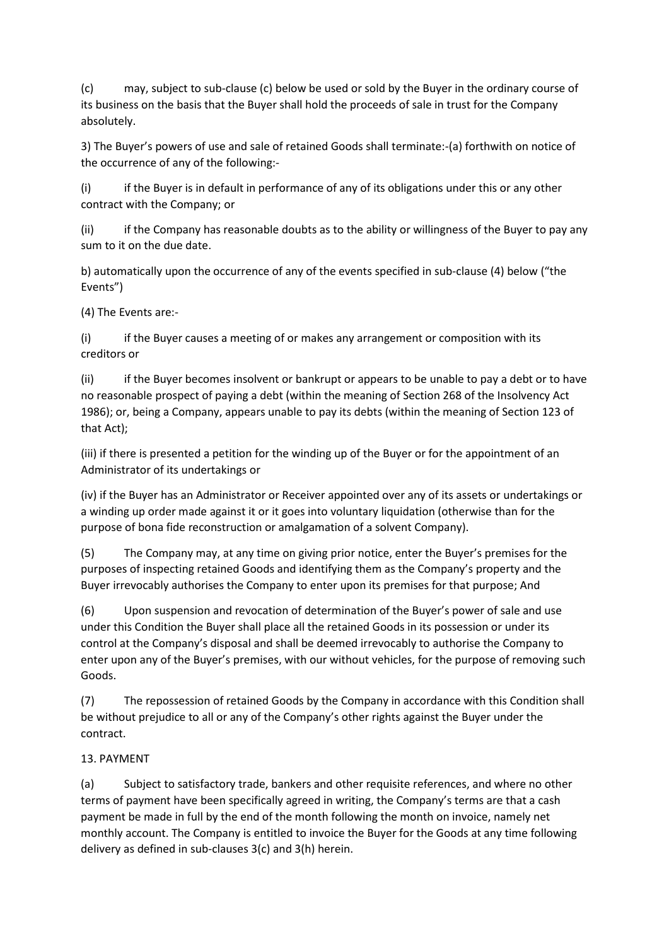(c) may, subject to sub-clause (c) below be used or sold by the Buyer in the ordinary course of its business on the basis that the Buyer shall hold the proceeds of sale in trust for the Company absolutely.

3) The Buyer's powers of use and sale of retained Goods shall terminate:-(a) forthwith on notice of the occurrence of any of the following:-

(i) if the Buyer is in default in performance of any of its obligations under this or any other contract with the Company; or

(ii) if the Company has reasonable doubts as to the ability or willingness of the Buyer to pay any sum to it on the due date.

b) automatically upon the occurrence of any of the events specified in sub-clause (4) below ("the Events")

(4) The Events are:-

(i) if the Buyer causes a meeting of or makes any arrangement or composition with its creditors or

(ii) if the Buyer becomes insolvent or bankrupt or appears to be unable to pay a debt or to have no reasonable prospect of paying a debt (within the meaning of Section 268 of the Insolvency Act 1986); or, being a Company, appears unable to pay its debts (within the meaning of Section 123 of that Act);

(iii) if there is presented a petition for the winding up of the Buyer or for the appointment of an Administrator of its undertakings or

(iv) if the Buyer has an Administrator or Receiver appointed over any of its assets or undertakings or a winding up order made against it or it goes into voluntary liquidation (otherwise than for the purpose of bona fide reconstruction or amalgamation of a solvent Company).

(5) The Company may, at any time on giving prior notice, enter the Buyer's premises for the purposes of inspecting retained Goods and identifying them as the Company's property and the Buyer irrevocably authorises the Company to enter upon its premises for that purpose; And

(6) Upon suspension and revocation of determination of the Buyer's power of sale and use under this Condition the Buyer shall place all the retained Goods in its possession or under its control at the Company's disposal and shall be deemed irrevocably to authorise the Company to enter upon any of the Buyer's premises, with our without vehicles, for the purpose of removing such Goods.

(7) The repossession of retained Goods by the Company in accordance with this Condition shall be without prejudice to all or any of the Company's other rights against the Buyer under the contract.

# 13. PAYMENT

(a) Subject to satisfactory trade, bankers and other requisite references, and where no other terms of payment have been specifically agreed in writing, the Company's terms are that a cash payment be made in full by the end of the month following the month on invoice, namely net monthly account. The Company is entitled to invoice the Buyer for the Goods at any time following delivery as defined in sub-clauses 3(c) and 3(h) herein.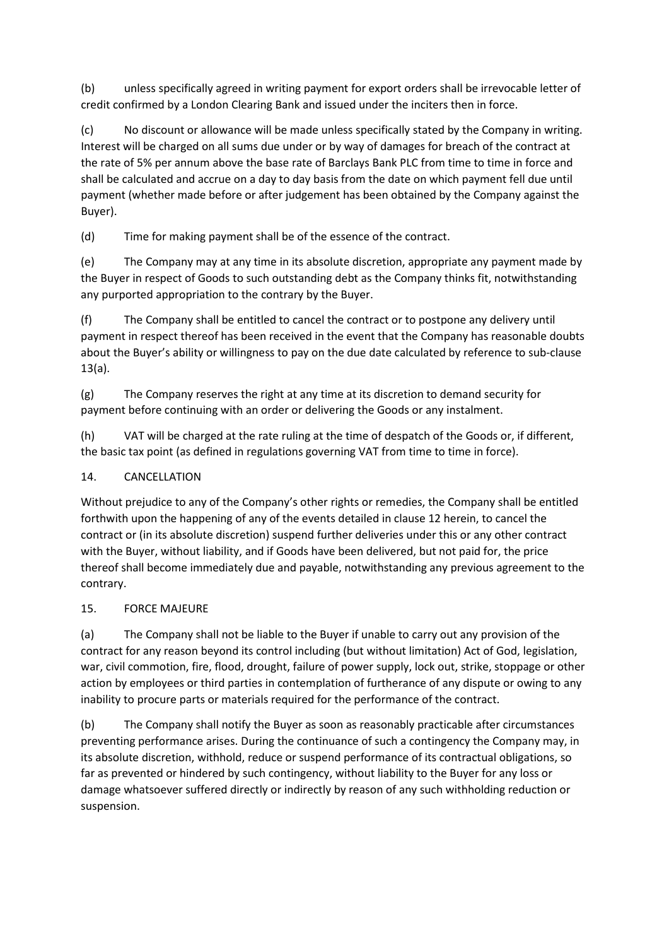(b) unless specifically agreed in writing payment for export orders shall be irrevocable letter of credit confirmed by a London Clearing Bank and issued under the inciters then in force.

(c) No discount or allowance will be made unless specifically stated by the Company in writing. Interest will be charged on all sums due under or by way of damages for breach of the contract at the rate of 5% per annum above the base rate of Barclays Bank PLC from time to time in force and shall be calculated and accrue on a day to day basis from the date on which payment fell due until payment (whether made before or after judgement has been obtained by the Company against the Buyer).

(d) Time for making payment shall be of the essence of the contract.

(e) The Company may at any time in its absolute discretion, appropriate any payment made by the Buyer in respect of Goods to such outstanding debt as the Company thinks fit, notwithstanding any purported appropriation to the contrary by the Buyer.

(f) The Company shall be entitled to cancel the contract or to postpone any delivery until payment in respect thereof has been received in the event that the Company has reasonable doubts about the Buyer's ability or willingness to pay on the due date calculated by reference to sub-clause 13(a).

(g) The Company reserves the right at any time at its discretion to demand security for payment before continuing with an order or delivering the Goods or any instalment.

(h) VAT will be charged at the rate ruling at the time of despatch of the Goods or, if different, the basic tax point (as defined in regulations governing VAT from time to time in force).

# 14. CANCELLATION

Without prejudice to any of the Company's other rights or remedies, the Company shall be entitled forthwith upon the happening of any of the events detailed in clause 12 herein, to cancel the contract or (in its absolute discretion) suspend further deliveries under this or any other contract with the Buyer, without liability, and if Goods have been delivered, but not paid for, the price thereof shall become immediately due and payable, notwithstanding any previous agreement to the contrary.

# 15. FORCE MAJEURE

(a) The Company shall not be liable to the Buyer if unable to carry out any provision of the contract for any reason beyond its control including (but without limitation) Act of God, legislation, war, civil commotion, fire, flood, drought, failure of power supply, lock out, strike, stoppage or other action by employees or third parties in contemplation of furtherance of any dispute or owing to any inability to procure parts or materials required for the performance of the contract.

(b) The Company shall notify the Buyer as soon as reasonably practicable after circumstances preventing performance arises. During the continuance of such a contingency the Company may, in its absolute discretion, withhold, reduce or suspend performance of its contractual obligations, so far as prevented or hindered by such contingency, without liability to the Buyer for any loss or damage whatsoever suffered directly or indirectly by reason of any such withholding reduction or suspension.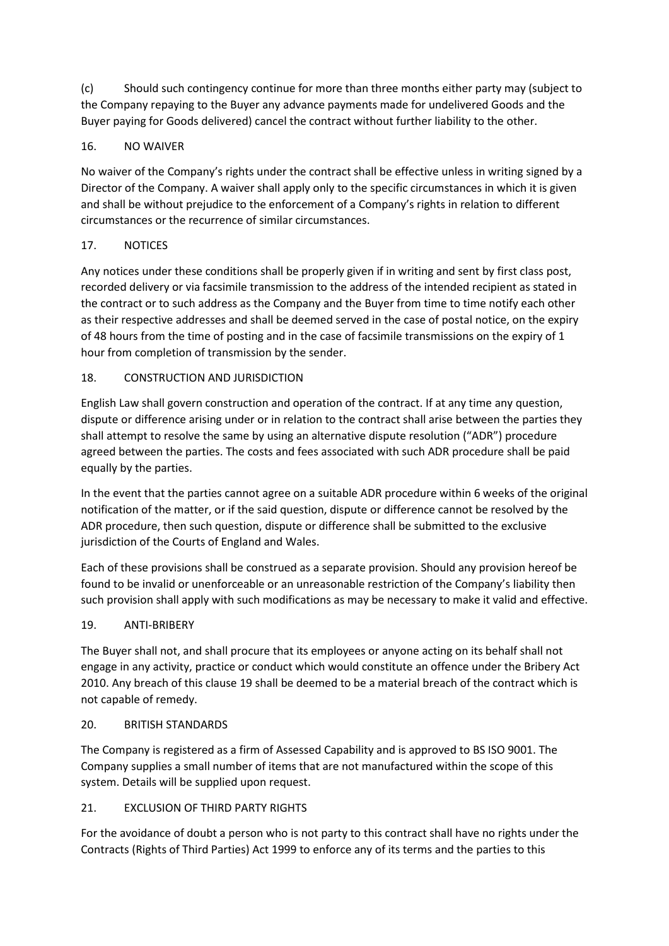(c) Should such contingency continue for more than three months either party may (subject to the Company repaying to the Buyer any advance payments made for undelivered Goods and the Buyer paying for Goods delivered) cancel the contract without further liability to the other.

## 16. NO WAIVER

No waiver of the Company's rights under the contract shall be effective unless in writing signed by a Director of the Company. A waiver shall apply only to the specific circumstances in which it is given and shall be without prejudice to the enforcement of a Company's rights in relation to different circumstances or the recurrence of similar circumstances.

## 17. NOTICES

Any notices under these conditions shall be properly given if in writing and sent by first class post, recorded delivery or via facsimile transmission to the address of the intended recipient as stated in the contract or to such address as the Company and the Buyer from time to time notify each other as their respective addresses and shall be deemed served in the case of postal notice, on the expiry of 48 hours from the time of posting and in the case of facsimile transmissions on the expiry of 1 hour from completion of transmission by the sender.

## 18. CONSTRUCTION AND JURISDICTION

English Law shall govern construction and operation of the contract. If at any time any question, dispute or difference arising under or in relation to the contract shall arise between the parties they shall attempt to resolve the same by using an alternative dispute resolution ("ADR") procedure agreed between the parties. The costs and fees associated with such ADR procedure shall be paid equally by the parties.

In the event that the parties cannot agree on a suitable ADR procedure within 6 weeks of the original notification of the matter, or if the said question, dispute or difference cannot be resolved by the ADR procedure, then such question, dispute or difference shall be submitted to the exclusive jurisdiction of the Courts of England and Wales.

Each of these provisions shall be construed as a separate provision. Should any provision hereof be found to be invalid or unenforceable or an unreasonable restriction of the Company's liability then such provision shall apply with such modifications as may be necessary to make it valid and effective.

## 19. ANTI-BRIBERY

The Buyer shall not, and shall procure that its employees or anyone acting on its behalf shall not engage in any activity, practice or conduct which would constitute an offence under the Bribery Act 2010. Any breach of this clause 19 shall be deemed to be a material breach of the contract which is not capable of remedy.

## 20. BRITISH STANDARDS

The Company is registered as a firm of Assessed Capability and is approved to BS ISO 9001. The Company supplies a small number of items that are not manufactured within the scope of this system. Details will be supplied upon request.

## 21. EXCLUSION OF THIRD PARTY RIGHTS

For the avoidance of doubt a person who is not party to this contract shall have no rights under the Contracts (Rights of Third Parties) Act 1999 to enforce any of its terms and the parties to this